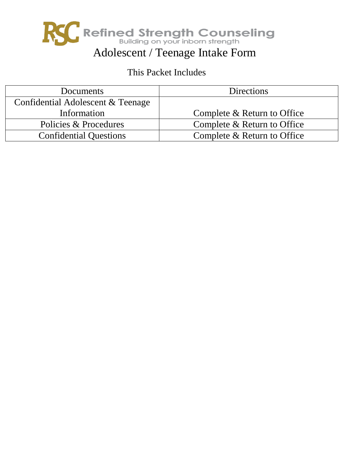

# This Packet Includes

| Documents                         | <b>Directions</b>           |
|-----------------------------------|-----------------------------|
| Confidential Adolescent & Teenage |                             |
| Information                       | Complete & Return to Office |
| Policies & Procedures             | Complete & Return to Office |
| <b>Confidential Questions</b>     | Complete & Return to Office |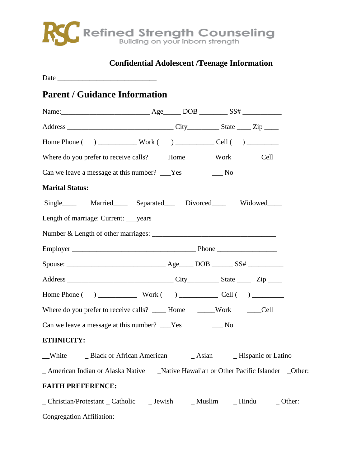

# **Confidential Adolescent /Teenage Information**

Date \_\_\_\_\_\_\_\_\_\_\_\_\_\_\_\_\_\_\_\_\_\_\_\_\_\_\_\_

## **Parent / Guidance Information**

| Where do you prefer to receive calls? ______ Home ________Work _______Cell   |  |  |  |
|------------------------------------------------------------------------------|--|--|--|
| Can we leave a message at this number? ___Yes ________No                     |  |  |  |
| <b>Marital Status:</b>                                                       |  |  |  |
| Single_____ Married_____ Separated____ Divorced_____ Widowed____             |  |  |  |
| Length of marriage: Current: _____ years                                     |  |  |  |
|                                                                              |  |  |  |
|                                                                              |  |  |  |
|                                                                              |  |  |  |
|                                                                              |  |  |  |
|                                                                              |  |  |  |
| Where do you prefer to receive calls? ______ Home _______Work ______Cell     |  |  |  |
| Can we leave a message at this number? ___Yes _________No                    |  |  |  |
| ETHNICITY:                                                                   |  |  |  |
|                                                                              |  |  |  |
|                                                                              |  |  |  |
| <b>FAITH PREFERENCE:</b>                                                     |  |  |  |
| _ Christian/Protestant _ Catholic _ _ Jewish _ _ Muslim _ _ Hindu _ _ Other: |  |  |  |

Congregation Affiliation: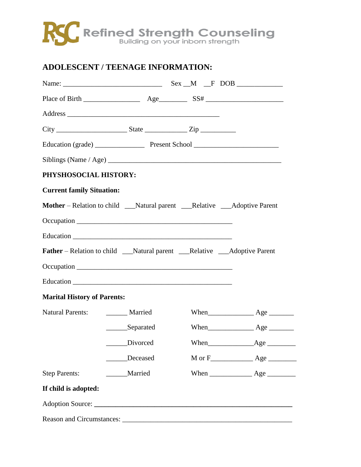### **ADOLESCENT / TEENAGE INFORMATION:**

| PHYSHOSOCIAL HISTORY:              |               |                                                                                    |  |
|------------------------------------|---------------|------------------------------------------------------------------------------------|--|
| <b>Current family Situation:</b>   |               |                                                                                    |  |
|                                    |               | Mother – Relation to child ___Natural parent ___Relative ___Adoptive Parent        |  |
|                                    |               |                                                                                    |  |
|                                    |               |                                                                                    |  |
|                                    |               | <b>Father</b> – Relation to child ___Natural parent ___Relative ___Adoptive Parent |  |
|                                    |               |                                                                                    |  |
|                                    |               |                                                                                    |  |
| <b>Marital History of Parents:</b> |               |                                                                                    |  |
| Natural Parents: Married           |               |                                                                                    |  |
|                                    |               |                                                                                    |  |
|                                    |               |                                                                                    |  |
|                                    | Deceased      |                                                                                    |  |
| <b>Step Parents:</b>               | ______Married |                                                                                    |  |
| If child is adopted:               |               |                                                                                    |  |
|                                    |               |                                                                                    |  |
|                                    |               |                                                                                    |  |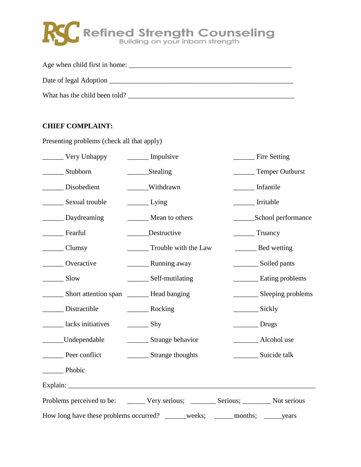| Age when child first in home: |  |
|-------------------------------|--|
| Date of legal Adoption        |  |
| What has the child been told? |  |

### **CHIEF COMPLAINT:**

| Very Unhappy                                                                         | Impulsive                     | Fire Setting               |
|--------------------------------------------------------------------------------------|-------------------------------|----------------------------|
| Stubborn                                                                             | Stealing                      | Temper Outburst            |
| _______ Disobedient                                                                  | Withdrawn                     | Infantile                  |
| ________ Sexual trouble                                                              | $\frac{L \times I}{L}$        | Irritable                  |
| Daydreaming                                                                          | Mean to others                |                            |
| Fearful                                                                              | Destructive                   | Truancy                    |
| $\frac{1}{2}$ Clumsy                                                                 | Trouble with the Law          |                            |
| Overactive                                                                           | <b>Example 2</b> Running away | Soiled pants               |
| $\frac{\ }{\ }$ Slow                                                                 | __________ Self-mutilating    | <b>Eating problems</b>     |
|                                                                                      |                               | Sleeping problems          |
| Distractible                                                                         |                               |                            |
| lacks initiatives                                                                    | $\frac{\ }{\ }$ Shy           | $\rule{1em}{0.15mm}$ Drugs |
| Undependable                                                                         | Strange behavior              |                            |
|                                                                                      | _________ Strange thoughts    |                            |
| Phobic                                                                               |                               |                            |
|                                                                                      |                               |                            |
| Problems perceived to be: _______ Very serious; _______ Serious; _______ Not serious |                               |                            |
| How long have these problems occurred? _____weeks;                                   |                               |                            |

Presenting problems (check all that apply)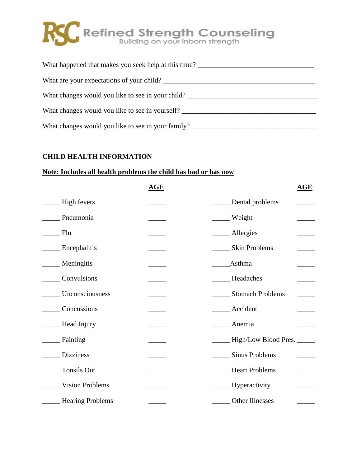| What happened that makes you seek help at this time?                              |
|-----------------------------------------------------------------------------------|
| What are your expectations of your child?                                         |
| What changes would you like to see in your child?                                 |
| What changes would you like to see in yourself?                                   |
| What changes would you like to see in your family? ______________________________ |

#### **CHILD HEALTH INFORMATION**

#### **Note: Includes all health problems the child has had or has now**

|                        | AGE | AGE                               |
|------------------------|-----|-----------------------------------|
| High fevers            |     | Dental problems                   |
| Pneumonia              |     | Weight                            |
| Flu                    |     | __ Allergies                      |
| Encephalitis           |     | Skin Problems                     |
| Meningitis             |     | <b>Asthma</b>                     |
| Convulsions            |     | Headaches                         |
| Unconsciousness        |     | <b>Stomach Problems</b>           |
| Concussions            |     | $\overline{\phantom{a}}$ Accident |
| _Head Injury           |     | Anemia                            |
| Fainting               |     | __ High/Low Blood Pres. _____     |
| <b>Dizziness</b>       |     | <b>Sinus Problems</b>             |
| <b>Tonsils Out</b>     |     | __ Heart Problems                 |
| <b>Vision Problems</b> |     | __ Hyperactivity                  |
| _Hearing Problems      |     | Other Illnesses                   |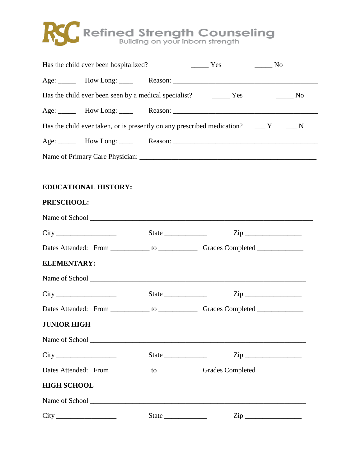

| Has the child ever been hospitalized?                                     | Yes | No No |
|---------------------------------------------------------------------------|-----|-------|
|                                                                           |     |       |
| Has the child ever been seen by a medical specialist? The Mess Theorem No |     |       |
|                                                                           |     |       |
|                                                                           |     |       |
|                                                                           |     |       |
|                                                                           |     |       |
|                                                                           |     |       |

### **EDUCATIONAL HISTORY:**

#### **PRESCHOOL:**

|                    | State $\frac{1}{\sqrt{2}}$ $\frac{1}{\sqrt{2}}$ $\frac{1}{\sqrt{2}}$ $\frac{1}{\sqrt{2}}$ $\frac{1}{\sqrt{2}}$ $\frac{1}{\sqrt{2}}$ $\frac{1}{\sqrt{2}}$ $\frac{1}{\sqrt{2}}$ $\frac{1}{\sqrt{2}}$ $\frac{1}{\sqrt{2}}$ $\frac{1}{\sqrt{2}}$ $\frac{1}{\sqrt{2}}$ $\frac{1}{\sqrt{2}}$ $\frac{1}{\sqrt{2}}$ $\frac{1}{\sqrt{2}}$ $\frac{1}{\sqrt{2}}$ $\frac{1}{\$ |  |
|--------------------|--------------------------------------------------------------------------------------------------------------------------------------------------------------------------------------------------------------------------------------------------------------------------------------------------------------------------------------------------------------------|--|
|                    |                                                                                                                                                                                                                                                                                                                                                                    |  |
| <b>ELEMENTARY:</b> |                                                                                                                                                                                                                                                                                                                                                                    |  |
|                    |                                                                                                                                                                                                                                                                                                                                                                    |  |
|                    |                                                                                                                                                                                                                                                                                                                                                                    |  |
|                    |                                                                                                                                                                                                                                                                                                                                                                    |  |
| <b>JUNIOR HIGH</b> |                                                                                                                                                                                                                                                                                                                                                                    |  |
|                    |                                                                                                                                                                                                                                                                                                                                                                    |  |
|                    |                                                                                                                                                                                                                                                                                                                                                                    |  |
|                    |                                                                                                                                                                                                                                                                                                                                                                    |  |
| <b>HIGH SCHOOL</b> |                                                                                                                                                                                                                                                                                                                                                                    |  |
|                    |                                                                                                                                                                                                                                                                                                                                                                    |  |
|                    | $\mathsf{Zip}\_$                                                                                                                                                                                                                                                                                                                                                   |  |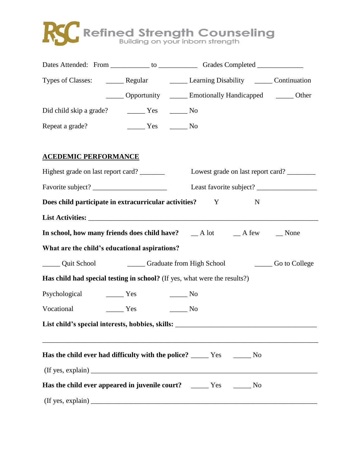|                                                                                  | Types of Classes: ________ Regular _________ Learning Disability ______ Continuation                                                                       |  |
|----------------------------------------------------------------------------------|------------------------------------------------------------------------------------------------------------------------------------------------------------|--|
|                                                                                  | ______ Opportunity _______ Emotionally Handicapped _______ Other                                                                                           |  |
|                                                                                  |                                                                                                                                                            |  |
| Repeat a grade? The Mo No                                                        |                                                                                                                                                            |  |
| <b>ACEDEMIC PERFORMANCE</b>                                                      |                                                                                                                                                            |  |
| Highest grade on last report card? ________                                      | Lowest grade on last report card? ________                                                                                                                 |  |
|                                                                                  | Least favorite subject?                                                                                                                                    |  |
| Does child participate in extracurricular activities?                            | Y<br>N                                                                                                                                                     |  |
|                                                                                  |                                                                                                                                                            |  |
|                                                                                  | In school, how many friends does child have? __ A lot __ A few __ None                                                                                     |  |
| What are the child's educational aspirations?                                    |                                                                                                                                                            |  |
|                                                                                  | Quit School Callege Caraduate from High School College                                                                                                     |  |
|                                                                                  | Has child had special testing in school? (If yes, what were the results?)                                                                                  |  |
|                                                                                  |                                                                                                                                                            |  |
| Vocational Ves No                                                                |                                                                                                                                                            |  |
| List child's special interests, hobbies, skills: _______________________________ |                                                                                                                                                            |  |
|                                                                                  | ,我们也不能在这里的时候,我们也不能在这里的时候,我们也不能会在这里的时候,我们也不能会在这里的时候,我们也不能会在这里的时候,我们也不能会在这里的时候,我们也<br>Has the child ever had difficulty with the police? _____ Yes ______ No |  |
|                                                                                  |                                                                                                                                                            |  |
|                                                                                  | Has the child ever appeared in juvenile court? _____ Yes _____ No                                                                                          |  |
|                                                                                  |                                                                                                                                                            |  |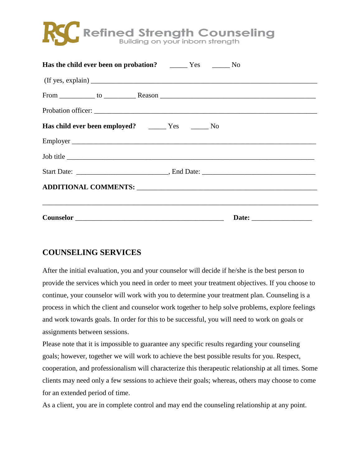

| <b>Has the child ever been on probation?</b> No No |  |
|----------------------------------------------------|--|
|                                                    |  |
|                                                    |  |
|                                                    |  |
|                                                    |  |
|                                                    |  |
| Job title                                          |  |
|                                                    |  |
|                                                    |  |
|                                                    |  |
|                                                    |  |

### **COUNSELING SERVICES**

After the initial evaluation, you and your counselor will decide if he/she is the best person to provide the services which you need in order to meet your treatment objectives. If you choose to continue, your counselor will work with you to determine your treatment plan. Counseling is a process in which the client and counselor work together to help solve problems, explore feelings and work towards goals. In order for this to be successful, you will need to work on goals or assignments between sessions.

Please note that it is impossible to guarantee any specific results regarding your counseling goals; however, together we will work to achieve the best possible results for you. Respect, cooperation, and professionalism will characterize this therapeutic relationship at all times. Some clients may need only a few sessions to achieve their goals; whereas, others may choose to come for an extended period of time.

As a client, you are in complete control and may end the counseling relationship at any point.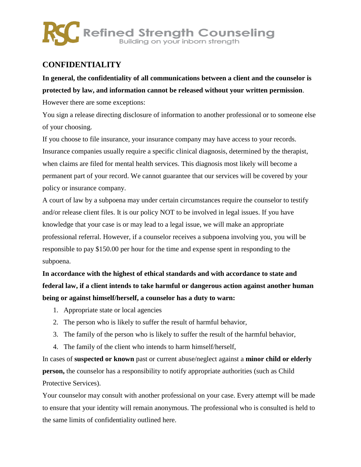### **CONFIDENTIALITY**

**In general, the confidentiality of all communications between a client and the counselor is protected by law, and information cannot be released without your written permission**. However there are some exceptions:

You sign a release directing disclosure of information to another professional or to someone else of your choosing.

If you choose to file insurance, your insurance company may have access to your records. Insurance companies usually require a specific clinical diagnosis, determined by the therapist, when claims are filed for mental health services. This diagnosis most likely will become a permanent part of your record. We cannot guarantee that our services will be covered by your policy or insurance company.

A court of law by a subpoena may under certain circumstances require the counselor to testify and/or release client files. It is our policy NOT to be involved in legal issues. If you have knowledge that your case is or may lead to a legal issue, we will make an appropriate professional referral. However, if a counselor receives a subpoena involving you, you will be responsible to pay \$150.00 per hour for the time and expense spent in responding to the subpoena.

**In accordance with the highest of ethical standards and with accordance to state and federal law, if a client intends to take harmful or dangerous action against another human being or against himself/herself, a counselor has a duty to warn:**

- 1. Appropriate state or local agencies
- 2. The person who is likely to suffer the result of harmful behavior,
- 3. The family of the person who is likely to suffer the result of the harmful behavior,
- 4. The family of the client who intends to harm himself/herself,

In cases of **suspected or known** past or current abuse/neglect against a **minor child or elderly person,** the counselor has a responsibility to notify appropriate authorities (such as Child Protective Services).

Your counselor may consult with another professional on your case. Every attempt will be made to ensure that your identity will remain anonymous. The professional who is consulted is held to the same limits of confidentiality outlined here.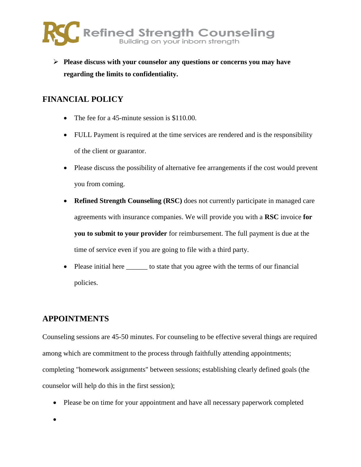

 **Please discuss with your counselor any questions or concerns you may have regarding the limits to confidentiality.**

### **FINANCIAL POLICY**

- The fee for a 45-minute session is \$110.00.
- FULL Payment is required at the time services are rendered and is the responsibility of the client or guarantor.
- Please discuss the possibility of alternative fee arrangements if the cost would prevent you from coming.
- **Refined Strength Counseling (RSC)** does not currently participate in managed care agreements with insurance companies. We will provide you with a **RSC** invoice **for you to submit to your provider** for reimbursement. The full payment is due at the time of service even if you are going to file with a third party.
- Please initial here to state that you agree with the terms of our financial policies.

### **APPOINTMENTS**

Counseling sessions are 45-50 minutes. For counseling to be effective several things are required among which are commitment to the process through faithfully attending appointments; completing "homework assignments" between sessions; establishing clearly defined goals (the counselor will help do this in the first session);

- Please be on time for your appointment and have all necessary paperwork completed
- $\bullet$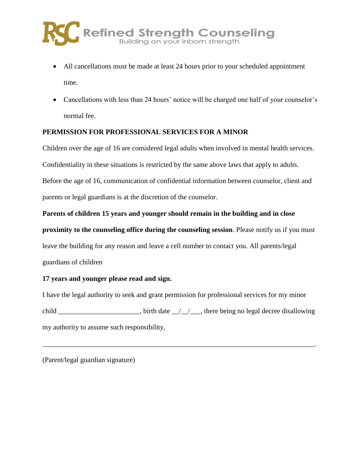- All cancellations must be made at least 24 hours prior to your scheduled appointment time.
- Cancellations with less than 24 hours' notice will be charged one half of your counselor's normal fee.

### **PERMISSION FOR PROFESSIONAL SERVICES FOR A MINOR**

Children over the age of 16 are considered legal adults when involved in mental health services. Confidentiality in these situations is restricted by the same above laws that apply to adults. Before the age of 16, communication of confidential information between counselor, client and parents or legal guardians is at the discretion of the counselor.

#### **Parents of children 15 years and younger should remain in the building and in close**

**proximity to the counseling office during the counseling session**. Please notify us if you must leave the building for any reason and leave a cell number to contact you. All parents/legal guardians of children

#### **17 years and younger please read and sign.**

I have the legal authority to seek and grant permission for professional services for my minor child \_\_\_\_\_\_\_\_\_\_\_\_\_\_\_\_\_\_\_, birth date \_/\_/\_\_, there being no legal decree disallowing my authority to assume such responsibility,

\_\_\_\_\_\_\_\_\_\_\_\_\_\_\_\_\_\_\_\_\_\_\_\_\_\_\_\_\_\_\_\_\_\_\_\_\_\_\_\_\_\_\_\_\_\_\_\_\_\_\_\_\_\_\_\_\_\_\_\_\_\_\_\_\_\_\_\_\_\_\_\_\_\_\_\_\_.

(Parent/legal guardian signature)